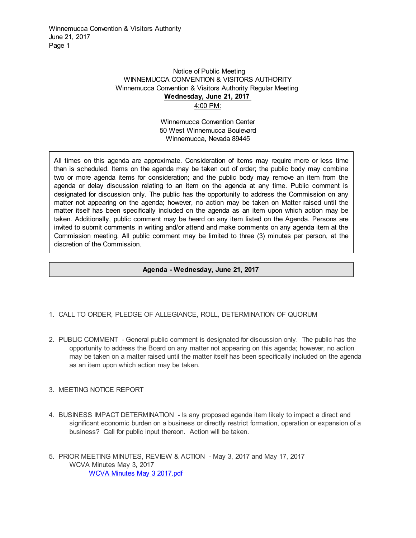Winnemucca Convention & Visitors Authority June 21, 2017 Page 1

## Notice of Public Meeting WINNEMUCCA CONVENTION & VISITORS AUTHORITY Winnemucca Convention & Visitors Authority Regular Meeting **Wednesday, June 21, 2017**  4:00 PM:

Winnemucca Convention Center 50 West Winnemucca Boulevard Winnemucca, Nevada 89445

All times on this agenda are approximate. Consideration of items may require more or less time than is scheduled. Items on the agenda may be taken out of order; the public body may combine two or more agenda items for consideration; and the public body may remove an item from the agenda or delay discussion relating to an item on the agenda at any time. Public comment is designated for discussion only. The public has the opportunity to address the Commission on any matter not appearing on the agenda; however, no action may be taken on Matter raised until the matter itself has been specifically included on the agenda as an item upon which action may be taken. Additionally, public comment may be heard on any item listed on the Agenda. Persons are invited to submit comments in writing and/or attend and make comments on any agenda item at the Commission meeting. All public comment may be limited to three (3) minutes per person, at the discretion of the Commission.

## **Agenda - Wednesday, June 21, 2017**

- 1. CALL TO ORDER, PLEDGE OF ALLEGIANCE, ROLL, DETERMINATION OF QUORUM
- 2. PUBLIC COMMENT General public comment is designated for discussion only. The public has the opportunity to address the Board on any matter not appearing on this agenda; however, no action may be taken on a matter raised until the matter itself has been specifically included on the agenda as an item upon which action may be taken.
- 3. MEETING NOTICE REPORT
- 4. BUSINESS IMPACT DETERMINATION Is any proposed agenda item likely to impact a direct and significant economic burden on a business or directly restrict formation, operation or expansion of a business? Call for public input thereon. Action will be taken.
- 5. PRIOR MEETING MINUTES, REVIEW & ACTION May 3, 2017 and May 17, 2017 WCVA Minutes May 3, 2017 [WCVA Minutes May 3 2017.pdf](https://legistarweb-production.s3.amazonaws.com/uploads/attachment/pdf/80167/WCVA_Minutes_May_3_2017.pdf)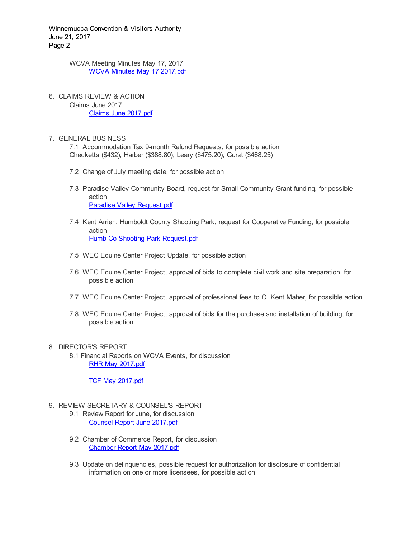Winnemucca Convention & Visitors Authority June 21, 2017 Page 2

> WCVA Meeting Minutes May 17, 2017 [WCVA Minutes May 17 2017.pdf](https://legistarweb-production.s3.amazonaws.com/uploads/attachment/pdf/80168/WCVA_Minutes_May_17_2017.pdf)

6. CLAIMS REVIEW & ACTION Claims June 2017 [Claims June 2017.pdf](https://legistarweb-production.s3.amazonaws.com/uploads/attachment/pdf/79980/Claims_June_2017.pdf)

## 7. GENERAL BUSINESS

7.1 Accommodation Tax 9-month Refund Requests, for possible action Checketts (\$432), Harber (\$388.80), Leary (\$475.20), Gurst (\$468.25)

- 7.2 Change of July meeting date, for possible action
- 7.3 Paradise Valley Community Board, request for Small Community Grant funding, for possible action [Paradise Valley Request.pdf](https://legistarweb-production.s3.amazonaws.com/uploads/attachment/pdf/80118/Paradise_Valley_Request.pdf)
- 7.4 Kent Arrien, Humboldt County Shooting Park, request for Cooperative Funding, for possible action [Humb Co Shooting Park Request.pdf](https://legistarweb-production.s3.amazonaws.com/uploads/attachment/pdf/78023/Humb_Co_Shooting_Park_Request.pdf)
- 7.5 WEC Equine Center Project Update, for possible action
- 7.6 WEC Equine Center Project, approval of bids to complete civil work and site preparation, for possible action
- 7.7 WEC Equine Center Project, approval of professional fees to O. Kent Maher, for possible action
- 7.8 WEC Equine Center Project, approval of bids for the purchase and installation of building, for possible action

## 8. DIRECTOR'S REPORT

8.1 Financial Reports on WCVA Events, for discussion [RHR May 2017.pdf](https://legistarweb-production.s3.amazonaws.com/uploads/attachment/pdf/78357/RHR_May_2017.pdf)

[TCF May 2017.pdf](https://legistarweb-production.s3.amazonaws.com/uploads/attachment/pdf/78430/TCF_May_2017.pdf)

- 9. REVIEW SECRETARY & COUNSEL'S REPORT
	- 9.1 Review Report for June, for discussion [Counsel Report June 2017.pdf](https://legistarweb-production.s3.amazonaws.com/uploads/attachment/pdf/80193/Counsel_Report_June_2017.pdf)
	- 9.2 Chamber of Commerce Report, for discussion [Chamber Report May 2017.pdf](https://legistarweb-production.s3.amazonaws.com/uploads/attachment/pdf/80194/Chamber_Report_May_2017.pdf)
	- 9.3 Update on delinquencies, possible request for authorization for disclosure of confidential information on one or more licensees, for possible action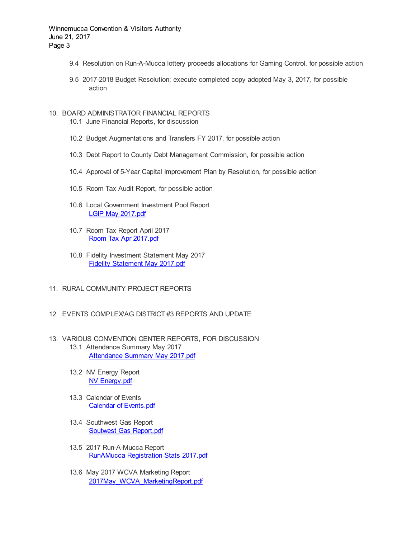- 9.4 Resolution on Run-A-Mucca lottery proceeds allocations for Gaming Control, for possible action
- 9.5 2017-2018 Budget Resolution; execute completed copy adopted May 3, 2017, for possible action
- 10. BOARD ADMINISTRATOR FINANCIAL REPORTS
	- 10.1 June Financial Reports, for discussion
	- 10.2 Budget Augmentations and Transfers FY 2017, for possible action
	- 10.3 Debt Report to County Debt Management Commission, for possible action
	- 10.4 Approval of 5-Year Capital Improvement Plan by Resolution, for possible action
	- 10.5 Room Tax Audit Report, for possible action
	- 10.6 Local Government Investment Pool Report [LGIP May 2017.pdf](https://legistarweb-production.s3.amazonaws.com/uploads/attachment/pdf/76469/LGIP_May_2017.pdf)
	- 10.7 Room Tax Report April 2017 [Room Tax Apr 2017.pdf](https://legistarweb-production.s3.amazonaws.com/uploads/attachment/pdf/76601/Room_Tax_Apr_2017.pdf)
	- 10.8 Fidelity Investment Statement May 2017 [Fidelity Statement May 2017.pdf](https://legistarweb-production.s3.amazonaws.com/uploads/attachment/pdf/78029/Fidelity_Statement_May_2017.pdf)
- 11. RURAL COMMUNITY PROJECT REPORTS
- 12. EVENTS COMPLEX/AG DISTRICT #3 REPORTS AND UPDATE
- 13. VARIOUS CONVENTION CENTER REPORTS, FOR DISCUSSION 13.1 Attendance Summary May 2017
	- [Attendance Summary May 2017.pdf](https://legistarweb-production.s3.amazonaws.com/uploads/attachment/pdf/74302/Attendance_Summary_May_2017.pdf)
	- 13.2 NV Energy Report [NV Energy.pdf](https://legistarweb-production.s3.amazonaws.com/uploads/attachment/pdf/74303/NV_Energy.pdf)
	- 13.3 Calendar of Events [Calendar of Events.pdf](https://legistarweb-production.s3.amazonaws.com/uploads/attachment/pdf/78425/Calendar_of_Events.pdf)
	- 13.4 Southwest Gas Report [Soutwest Gas Report.pdf](https://legistarweb-production.s3.amazonaws.com/uploads/attachment/pdf/78614/Soutwest_Gas_Report.pdf)
	- 13.5 2017 Run-A-Mucca Report [RunAMucca Registration Stats 2017.pdf](https://legistarweb-production.s3.amazonaws.com/uploads/attachment/pdf/79715/RunAMucca_Registration_Stats_2017.pdf)
	- 13.6 May 2017 WCVA Marketing Report [2017May\\_WCVA\\_MarketingReport.pdf](https://legistarweb-production.s3.amazonaws.com/uploads/attachment/pdf/79713/2017May_WCVA_MarketingReport.pdf)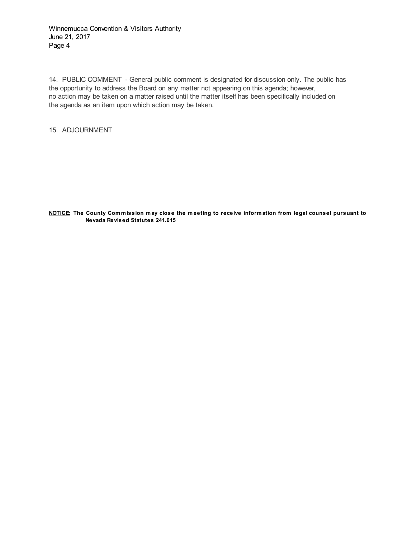Winnemucca Convention & Visitors Authority June 21, 2017 Page 4

14. PUBLIC COMMENT - General public comment is designated for discussion only. The public has the opportunity to address the Board on any matter not appearing on this agenda; however, no action may be taken on a matter raised until the matter itself has been specifically included on the agenda as an item upon which action may be taken.

15. ADJOURNMENT

**NOTICE: The County Com m ission m ay close the m eeting to receive inform ation from legal counsel pursuant to Nevada Revised Statutes 241.015**